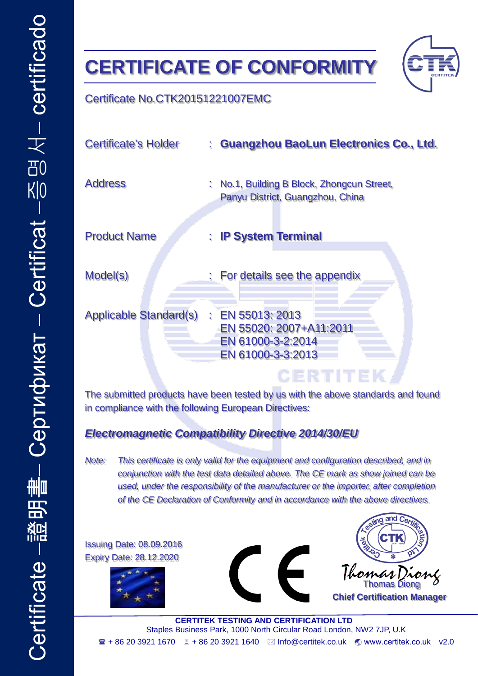# **CERTIFICATE OF CONFORMITY**



### Certificate No.CTK20151221007EMC

| <b>Certificate's Holder</b>   | : Guangzhou BaoLun Electronics Co., Ltd.                                              |
|-------------------------------|---------------------------------------------------------------------------------------|
| <b>Address</b>                | : No.1, Building B Block, Zhongcun Street,<br>Panyu District, Guangzhou, China        |
| <b>Product Name</b>           | : IP System Terminal                                                                  |
| Model(s)                      | : For details see the appendix                                                        |
| <b>Applicable Standard(s)</b> | : EN 55013: 2013<br>EN 55020: 2007+A11:2011<br>EN 61000-3-2:2014<br>EN 61000-3-3:2013 |
|                               | GERTITEK                                                                              |

The submitted products have been tested by us with the above standards and found in compliance with the following European Directives:

#### *Electromagnetic Compatibility Directive 2014/30/EU*

*Note: This certificate is only valid for the equipment and configuration described, and in conjunction with the test data detailed above. The CE mark as show joined can be used, under the responsibility of the manufacturer or the importer, after completion of the CE Declaration of Conformity and in accordance with the above directives.*

Issuing Date: 08.09.2016 Expiry Date: 28.12.2020







**Chief Certification Manager**

**CERTITEK TESTING AND CERTIFICATION LTD** Staples Business Park, 1000 North Circular Road London, NW2 7JP, U.K + 86 20 3921 1670 + 86 20 3921 1640 Info@certitek.co.uk [www.certitek.co.uk](http://www.certitek.co.uk/) v2.0